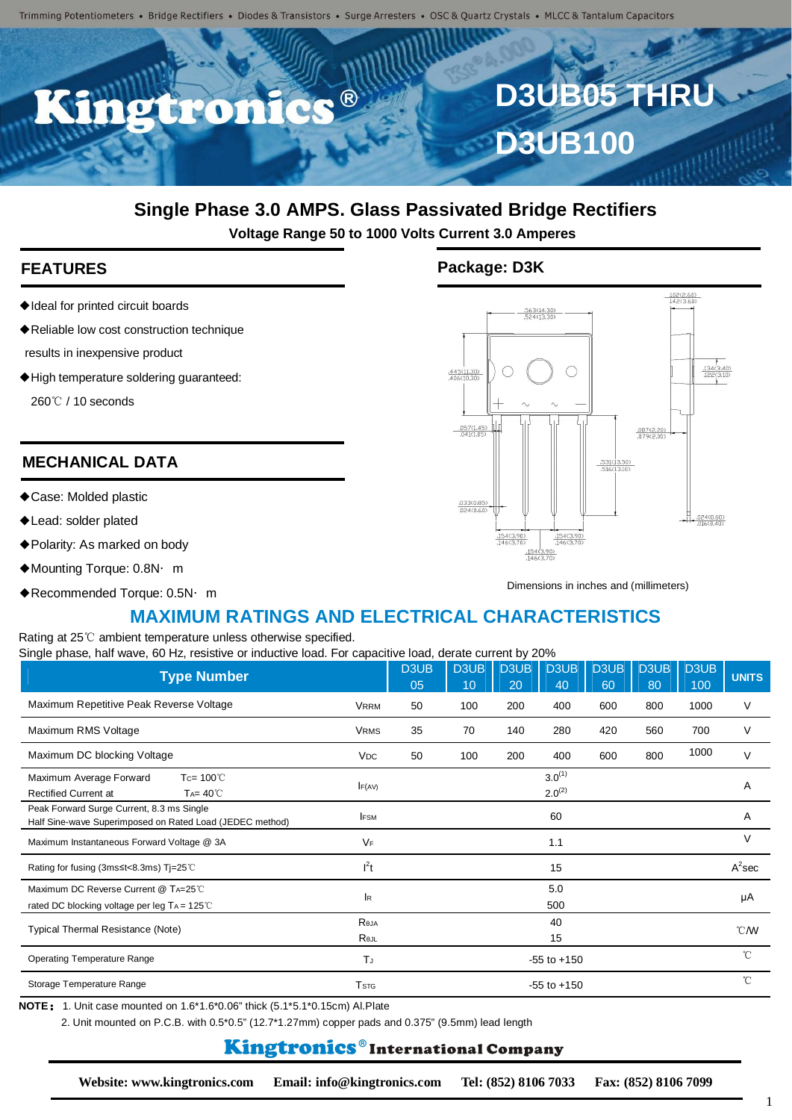

# **Single Phase 3.0 AMPS. Glass Passivated Bridge Rectifiers**

**Voltage Range 50 to 1000 Volts Current 3.0 Amperes**

- ◆Ideal for printed circuit boards
- ◆Reliable low cost construction technique
- results in inexpensive product
- ◆High temperature soldering guaranteed:

260 ℃ / 10 seconds

### **MECHANICAL DATA**

- ◆Case: Molded plastic
- ◆Lead: solder plated
- ◆Polarity: As marked on body
- ◆Mounting Torque: 0.8N· m
- ◆Recommended Torque: 0.5N·m

### **FEATURES Package: D3K**



Dimensions in inches and (millimeters)

# **MAXIMUM RATINGS AND ELECTRICAL CHARACTERISTICS**

Rating at 25℃ ambient temperature unless otherwise specified. Single phase, half wave, 60 Hz, resistive or inductive load. For capacitive load, derate current by 20%

| <b>Type Number</b>                                                                                    |                         | D3UB<br>05 | <b>D3UB</b><br>10 | D3UB<br>20 | D3UB<br>40                 | D3UB<br>60 | D3UB<br>80 | D3UB<br>100 | <b>UNITS</b>     |
|-------------------------------------------------------------------------------------------------------|-------------------------|------------|-------------------|------------|----------------------------|------------|------------|-------------|------------------|
| Maximum Repetitive Peak Reverse Voltage                                                               | <b>VRRM</b>             | 50         | 100               | 200        | 400                        | 600        | 800        | 1000        | V                |
| Maximum RMS Voltage                                                                                   | <b>VRMS</b>             | 35         | 70                | 140        | 280                        | 420        | 560        | 700         | V                |
| Maximum DC blocking Voltage                                                                           | <b>VDC</b>              | 50         | 100               | 200        | 400                        | 600        | 800        | 1000        | $\vee$           |
| Maximum Average Forward<br>Tc= $100^{\circ}$ C<br><b>Rectified Current at</b><br>$Ta = 40^{\circ}$    | F(AV)                   |            |                   |            | $3.0^{(1)}$<br>$2.0^{(2)}$ |            |            |             | Α                |
| Peak Forward Surge Current, 8.3 ms Single<br>Half Sine-wave Superimposed on Rated Load (JEDEC method) | <b>IFSM</b>             |            |                   |            | 60                         |            |            |             | A                |
| Maximum Instantaneous Forward Voltage @ 3A                                                            | VF                      |            |                   |            | 1.1                        |            |            |             | $\vee$           |
| Rating for fusing (3ms≤t<8.3ms) Tj=25℃                                                                | $I^2t$                  |            |                   |            | 15                         |            |            |             | $A^2$ sec        |
| Maximum DC Reverse Current @ TA=25°C<br>rated DC blocking voltage per leg TA = 125℃                   | lR.                     |            |                   |            | 5.0<br>500                 |            |            |             | μA               |
| Typical Thermal Resistance (Note)                                                                     | Reja<br>Rejl            |            |                   |            | 40<br>15                   |            |            |             | $\mathcal{C}$ MV |
| <b>Operating Temperature Range</b>                                                                    | TJ                      |            |                   |            | $-55$ to $+150$            |            |            |             | $^{\circ}$ C     |
| Storage Temperature Range                                                                             | <b>T</b> <sub>STG</sub> |            | $-55$ to $+150$   |            |                            |            |            |             | $^{\circ}$ C     |

2. Unit mounted on P.C.B. with 0.5\*0.5" (12.7\*1.27mm) copper pads and 0.375" (9.5mm) lead length

# **Kingtronics**®International Company

**Website: www.kingtronics.com Email: info@kingtronics.com Tel: (852) 8106 7033 Fax: (852) 8106 7099**

1